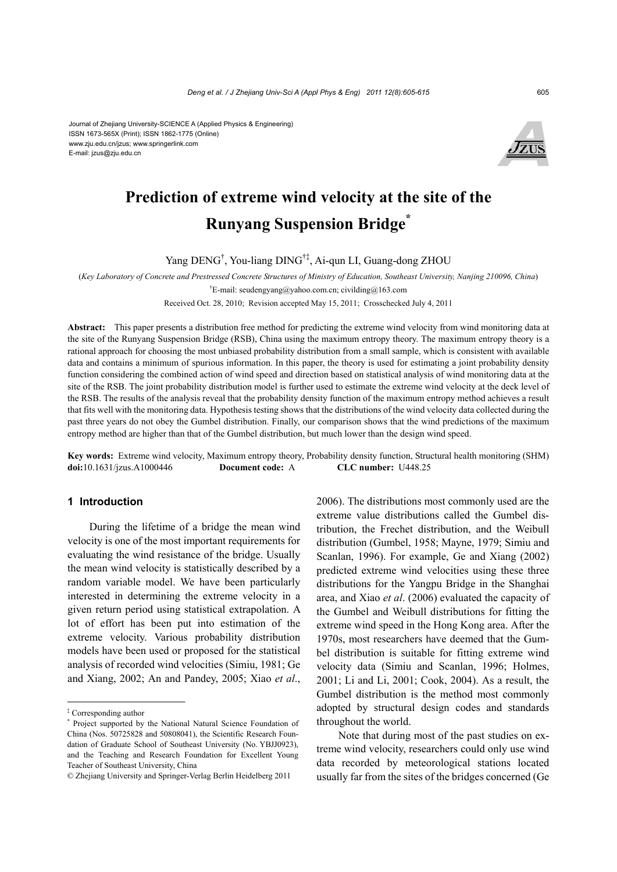E-mail: jzus@zju.edu.cn



# **Prediction of extreme wind velocity at the site of the Runyang Suspension Bridge\***

Yang DENG† , You-liang DING†‡, Ai-qun LI, Guang-dong ZHOU

(*Key Laboratory of Concrete and Prestressed Concrete Structures of Ministry of Education, Southeast University, Nanjing 210096, China*)

<sup>†</sup>E-mail: seudengyang@yahoo.com.cn; civilding@163.com

Received Oct. 28, 2010; Revision accepted May 15, 2011; Crosschecked July 4, 2011

**Abstract:** This paper presents a distribution free method for predicting the extreme wind velocity from wind monitoring data at the site of the Runyang Suspension Bridge (RSB), China using the maximum entropy theory. The maximum entropy theory is a rational approach for choosing the most unbiased probability distribution from a small sample, which is consistent with available data and contains a minimum of spurious information. In this paper, the theory is used for estimating a joint probability density function considering the combined action of wind speed and direction based on statistical analysis of wind monitoring data at the site of the RSB. The joint probability distribution model is further used to estimate the extreme wind velocity at the deck level of the RSB. The results of the analysis reveal that the probability density function of the maximum entropy method achieves a result that fits well with the monitoring data. Hypothesis testing shows that the distributions of the wind velocity data collected during the past three years do not obey the Gumbel distribution. Finally, our comparison shows that the wind predictions of the maximum entropy method are higher than that of the Gumbel distribution, but much lower than the design wind speed.

**Key words:** Extreme wind velocity, Maximum entropy theory, Probability density function, Structural health monitoring (SHM) **doi:**10.1631/jzus.A1000446 **Document code:** A **CLC number:** U448.25

## **1 Introduction**

During the lifetime of a bridge the mean wind velocity is one of the most important requirements for evaluating the wind resistance of the bridge. Usually the mean wind velocity is statistically described by a random variable model. We have been particularly interested in determining the extreme velocity in a given return period using statistical extrapolation. A lot of effort has been put into estimation of the extreme velocity. Various probability distribution models have been used or proposed for the statistical analysis of recorded wind velocities (Simiu, 1981; Ge and Xiang, 2002; An and Pandey, 2005; Xiao *et al*., 2006). The distributions most commonly used are the extreme value distributions called the Gumbel distribution, the Frechet distribution, and the Weibull distribution (Gumbel, 1958; Mayne, 1979; Simiu and Scanlan, 1996). For example, Ge and Xiang (2002) predicted extreme wind velocities using these three distributions for the Yangpu Bridge in the Shanghai area, and Xiao *et al*. (2006) evaluated the capacity of the Gumbel and Weibull distributions for fitting the extreme wind speed in the Hong Kong area. After the 1970s, most researchers have deemed that the Gumbel distribution is suitable for fitting extreme wind velocity data (Simiu and Scanlan, 1996; Holmes, 2001; Li and Li, 2001; Cook, 2004). As a result, the Gumbel distribution is the method most commonly adopted by structural design codes and standards throughout the world.

Note that during most of the past studies on extreme wind velocity, researchers could only use wind data recorded by meteorological stations located usually far from the sites of the bridges concerned (Ge

<sup>‡</sup> Corresponding author

<sup>\*</sup> Project supported by the National Natural Science Foundation of China (Nos. 50725828 and 50808041), the Scientific Research Foundation of Graduate School of Southeast University (No. YBJJ0923), and the Teaching and Research Foundation for Excellent Young Teacher of Southeast University, China

<sup>©</sup> Zhejiang University and Springer-Verlag Berlin Heidelberg 2011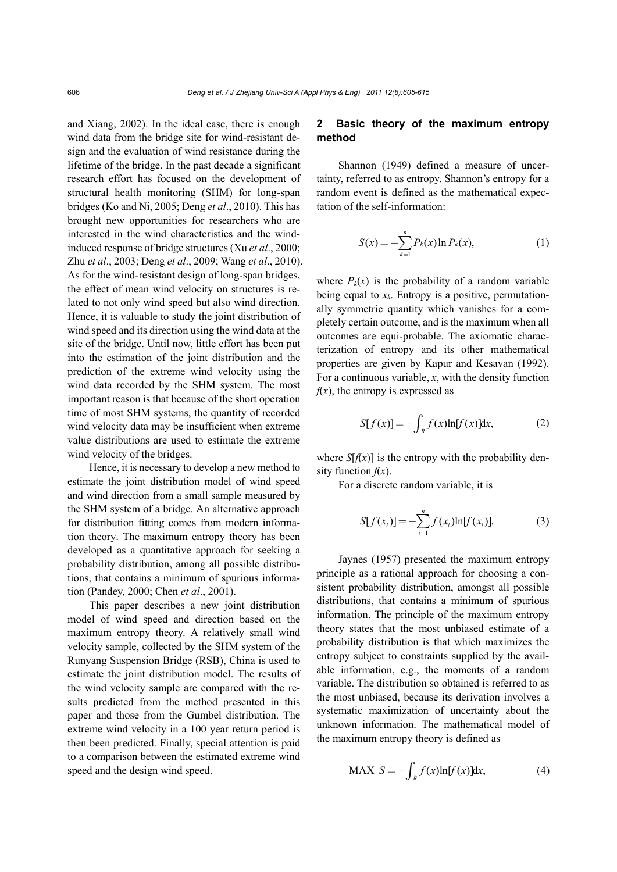and Xiang, 2002). In the ideal case, there is enough wind data from the bridge site for wind-resistant design and the evaluation of wind resistance during the lifetime of the bridge. In the past decade a significant research effort has focused on the development of structural health monitoring (SHM) for long-span bridges (Ko and Ni, 2005; Deng *et al*., 2010). This has brought new opportunities for researchers who are interested in the wind characteristics and the windinduced response of bridge structures (Xu *et al*., 2000; Zhu *et al*., 2003; Deng *et al*., 2009; Wang *et al*., 2010). As for the wind-resistant design of long-span bridges, the effect of mean wind velocity on structures is related to not only wind speed but also wind direction. Hence, it is valuable to study the joint distribution of wind speed and its direction using the wind data at the site of the bridge. Until now, little effort has been put into the estimation of the joint distribution and the prediction of the extreme wind velocity using the wind data recorded by the SHM system. The most important reason is that because of the short operation time of most SHM systems, the quantity of recorded wind velocity data may be insufficient when extreme value distributions are used to estimate the extreme wind velocity of the bridges.

Hence, it is necessary to develop a new method to estimate the joint distribution model of wind speed and wind direction from a small sample measured by the SHM system of a bridge. An alternative approach for distribution fitting comes from modern information theory. The maximum entropy theory has been developed as a quantitative approach for seeking a probability distribution, among all possible distributions, that contains a minimum of spurious information (Pandey, 2000; Chen *et al*., 2001).

This paper describes a new joint distribution model of wind speed and direction based on the maximum entropy theory. A relatively small wind velocity sample, collected by the SHM system of the Runyang Suspension Bridge (RSB), China is used to estimate the joint distribution model. The results of the wind velocity sample are compared with the results predicted from the method presented in this paper and those from the Gumbel distribution. The extreme wind velocity in a 100 year return period is then been predicted. Finally, special attention is paid to a comparison between the estimated extreme wind speed and the design wind speed.

# **2 Basic theory of the maximum entropy method**

Shannon (1949) defined a measure of uncertainty, referred to as entropy. Shannon's entropy for a random event is defined as the mathematical expectation of the self-information:

$$
S(x) = -\sum_{k=1}^{n} P_k(x) \ln P_k(x),
$$
 (1)

where  $P_k(x)$  is the probability of a random variable being equal to  $x_k$ . Entropy is a positive, permutationally symmetric quantity which vanishes for a completely certain outcome, and is the maximum when all outcomes are equi-probable. The axiomatic characterization of entropy and its other mathematical properties are given by Kapur and Kesavan (1992). For a continuous variable, *x*, with the density function  $f(x)$ , the entropy is expressed as

$$
S[f(x)] = -\int_{R} f(x) \ln[f(x)] dx, \tag{2}
$$

where  $S[f(x)]$  is the entropy with the probability density function  $f(x)$ .

For a discrete random variable, it is

$$
S[f(x_i)] = -\sum_{i=1}^{n} f(x_i) \ln[f(x_i)].
$$
 (3)

Jaynes (1957) presented the maximum entropy principle as a rational approach for choosing a consistent probability distribution, amongst all possible distributions, that contains a minimum of spurious information. The principle of the maximum entropy theory states that the most unbiased estimate of a probability distribution is that which maximizes the entropy subject to constraints supplied by the available information, e.g., the moments of a random variable. The distribution so obtained is referred to as the most unbiased, because its derivation involves a systematic maximization of uncertainty about the unknown information. The mathematical model of the maximum entropy theory is defined as

$$
\text{MAX } S = -\int_{R} f(x) \ln[f(x)] \, \mathrm{d}x,\tag{4}
$$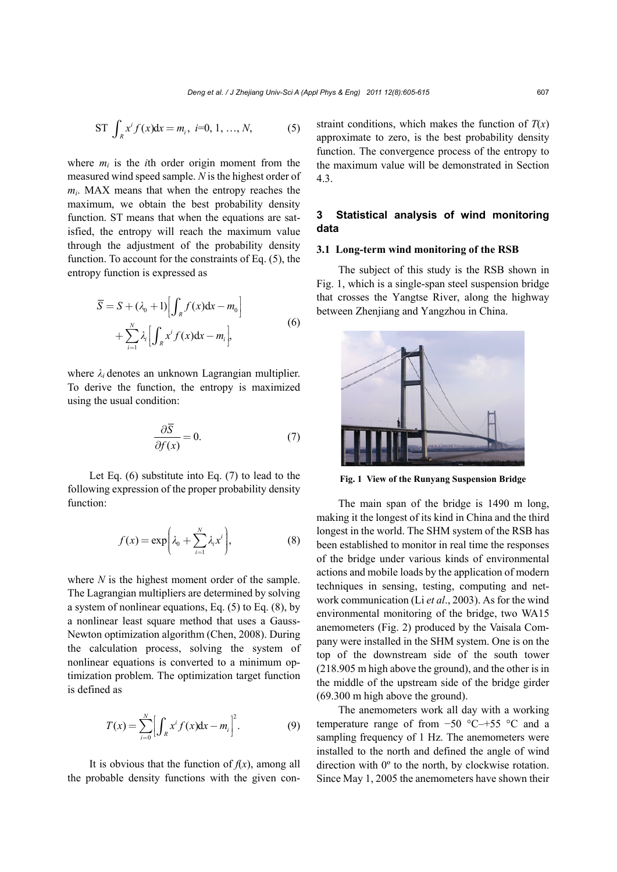ST 
$$
\int_{R} x^{i} f(x) dx = m_{i}, i=0, 1, ..., N,
$$
 (5)

where  $m_i$  is the *i*th order origin moment from the measured wind speed sample. *N* is the highest order of *mi*. MAX means that when the entropy reaches the maximum, we obtain the best probability density function. ST means that when the equations are satisfied, the entropy will reach the maximum value through the adjustment of the probability density function. To account for the constraints of Eq. (5), the entropy function is expressed as

$$
\overline{S} = S + (\lambda_0 + 1) \Big[ \int_R f(x) dx - m_0 \Big] + \sum_{i=1}^N \lambda_i \Big[ \int_R x^i f(x) dx - m_i \Big],
$$
\n(6)

where  $\lambda_i$  denotes an unknown Lagrangian multiplier. To derive the function, the entropy is maximized using the usual condition:

$$
\frac{\partial \overline{S}}{\partial f(x)} = 0. \tag{7}
$$

Let Eq. (6) substitute into Eq. (7) to lead to the following expression of the proper probability density function:

$$
f(x) = \exp\left(\lambda_0 + \sum_{i=1}^{N} \lambda_i x^i\right),\tag{8}
$$

where *N* is the highest moment order of the sample. The Lagrangian multipliers are determined by solving a system of nonlinear equations, Eq. (5) to Eq. (8), by a nonlinear least square method that uses a Gauss-Newton optimization algorithm (Chen, 2008). During the calculation process, solving the system of nonlinear equations is converted to a minimum optimization problem. The optimization target function is defined as

$$
T(x) = \sum_{i=0}^{N} \Bigl[ \int_{R} x^{i} f(x) dx - m_{i} \Bigr]^{2}.
$$
 (9)

It is obvious that the function of  $f(x)$ , among all the probable density functions with the given constraint conditions, which makes the function of  $T(x)$ approximate to zero, is the best probability density function. The convergence process of the entropy to the maximum value will be demonstrated in Section 4.3.

## **3 Statistical analysis of wind monitoring data**

## **3.1 Long-term wind monitoring of the RSB**

The subject of this study is the RSB shown in Fig. 1, which is a single-span steel suspension bridge that crosses the Yangtse River, along the highway between Zhenjiang and Yangzhou in China.



**Fig. 1 View of the Runyang Suspension Bridge**

The main span of the bridge is 1490 m long, making it the longest of its kind in China and the third longest in the world. The SHM system of the RSB has been established to monitor in real time the responses of the bridge under various kinds of environmental actions and mobile loads by the application of modern techniques in sensing, testing, computing and network communication (Li *et al*., 2003). As for the wind environmental monitoring of the bridge, two WA15 anemometers (Fig. 2) produced by the Vaisala Company were installed in the SHM system. One is on the top of the downstream side of the south tower (218.905 m high above the ground), and the other is in the middle of the upstream side of the bridge girder (69.300 m high above the ground).

The anemometers work all day with a working temperature range of from −50 °C–+55 °C and a sampling frequency of 1 Hz. The anemometers were installed to the north and defined the angle of wind direction with 0º to the north, by clockwise rotation. Since May 1, 2005 the anemometers have shown their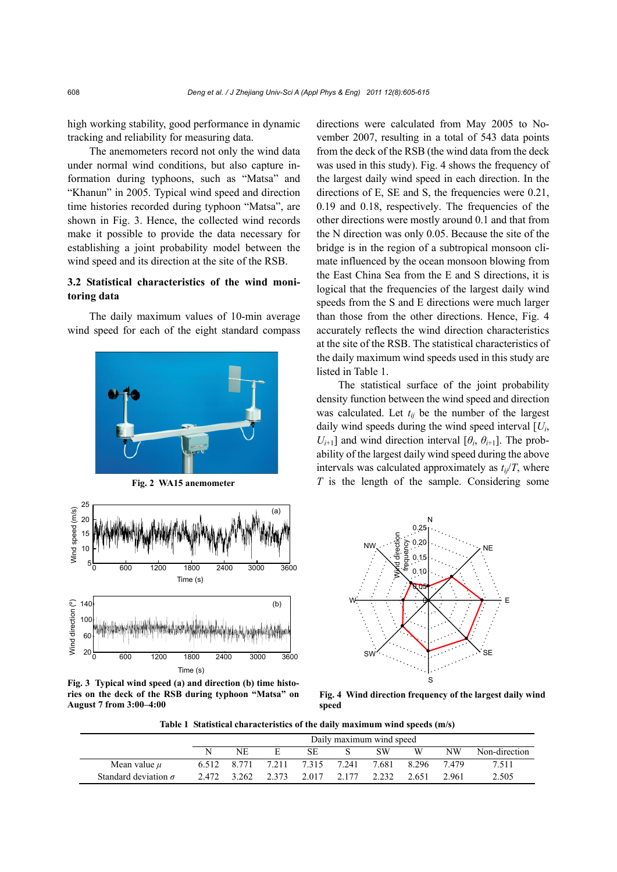high working stability, good performance in dynamic tracking and reliability for measuring data.

The anemometers record not only the wind data under normal wind conditions, but also capture information during typhoons, such as "Matsa" and "Khanun" in 2005. Typical wind speed and direction time histories recorded during typhoon "Matsa", are shown in Fig. 3. Hence, the collected wind records make it possible to provide the data necessary for establishing a joint probability model between the wind speed and its direction at the site of the RSB.

# **3.2 Statistical characteristics of the wind monitoring data**

The daily maximum values of 10-min average wind speed for each of the eight standard compass





**Fig. 3 Typical wind speed (a) and direction (b) time histories on the deck of the RSB during typhoon "Matsa" on August 7 from 3:00–4:00** 

directions were calculated from May 2005 to November 2007, resulting in a total of 543 data points from the deck of the RSB (the wind data from the deck was used in this study). Fig. 4 shows the frequency of the largest daily wind speed in each direction. In the directions of E, SE and S, the frequencies were 0.21, 0.19 and 0.18, respectively. The frequencies of the other directions were mostly around 0.1 and that from the N direction was only 0.05. Because the site of the bridge is in the region of a subtropical monsoon climate influenced by the ocean monsoon blowing from the East China Sea from the E and S directions, it is logical that the frequencies of the largest daily wind speeds from the S and E directions were much larger than those from the other directions. Hence, Fig. 4 accurately reflects the wind direction characteristics at the site of the RSB. The statistical characteristics of the daily maximum wind speeds used in this study are listed in Table 1.

The statistical surface of the joint probability density function between the wind speed and direction was calculated. Let  $t_{ij}$  be the number of the largest daily wind speeds during the wind speed interval [*Ui*,  $U_{i+1}$ ] and wind direction interval  $[\theta_i, \theta_{i+1}]$ . The probability of the largest daily wind speed during the above intervals was calculated approximately as  $t_{ij}/T$ , where **Fig. 2 WA15 anemometer** *T* is the length of the sample. Considering some



**Fig. 4 Wind direction frequency of the largest daily wind speed** 

**Table 1 Statistical characteristics of the daily maximum wind speeds (m/s)** 

|                             | Daily maximum wind speed |  |                                                 |       |     |   |     |               |
|-----------------------------|--------------------------|--|-------------------------------------------------|-------|-----|---|-----|---------------|
|                             | NE                       |  | SE.                                             | - 8 - | .SW | W | NW. | Non-direction |
| Mean value $\mu$            |                          |  | 6.512 8.771 7.211 7.315 7.241 7.681 8.296 7.479 |       |     |   |     | 7.511         |
| Standard deviation $\sigma$ |                          |  | 2.472 3.262 2.373 2.017 2.177 2.232 2.651 2.961 |       |     |   |     | 2.505         |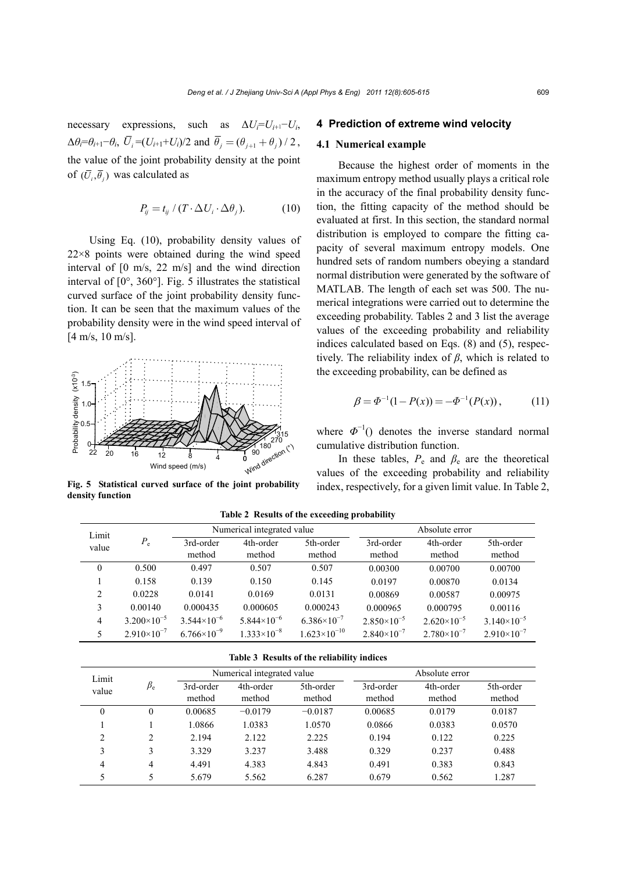necessary expressions, such as  $\Delta U_i = U_{i+1} - U_i$ ,  $\Delta \theta_i = \theta_{i+1} - \theta_i$ ,  $\overline{U}_i = (U_{i+1} + U_i)/2$  and  $\overline{\theta}_i = (\theta_{i+1} + \theta_i)/2$ , the value of the joint probability density at the point of  $(\overline{U}_i, \overline{\theta}_i)$  was calculated as

$$
P_{ij} = t_{ij} / (T \cdot \Delta U_i \cdot \Delta \theta_j). \tag{10}
$$

Using Eq. (10), probability density values of  $22\times8$  points were obtained during the wind speed interval of [0 m/s, 22 m/s] and the wind direction interval of [0°, 360°]. Fig. 5 illustrates the statistical curved surface of the joint probability density function. It can be seen that the maximum values of the probability density were in the wind speed interval of [4 m/s, 10 m/s].



**density function** 

## **4 Prediction of extreme wind velocity**

## **4.1 Numerical example**

Because the highest order of moments in the maximum entropy method usually plays a critical role in the accuracy of the final probability density function, the fitting capacity of the method should be evaluated at first. In this section, the standard normal distribution is employed to compare the fitting capacity of several maximum entropy models. One hundred sets of random numbers obeying a standard normal distribution were generated by the software of MATLAB. The length of each set was 500. The numerical integrations were carried out to determine the exceeding probability. Tables 2 and 3 list the average values of the exceeding probability and reliability indices calculated based on Eqs. (8) and (5), respectively. The reliability index of *β*, which is related to the exceeding probability, can be defined as

$$
\beta = \Phi^{-1}(1 - P(x)) = -\Phi^{-1}(P(x)), \quad (11)
$$

where  $\Phi^{-1}()$  denotes the inverse standard normal cumulative distribution function.

In these tables,  $P_e$  and  $\beta_e$  are the theoretical values of the exceeding probability and reliability Fig. 5 Statistical curved surface of the joint probability index, respectively, for a given limit value. In Table 2,

| Limit          |                      |                        | Numerical integrated value |                       | Absolute error       |                      |                      |  |
|----------------|----------------------|------------------------|----------------------------|-----------------------|----------------------|----------------------|----------------------|--|
| value          | $P_{\rm e}$          | 3rd-order              | 4th-order                  | 5th-order             | 3rd-order            | 4th-order            | 5th-order            |  |
|                |                      | method                 | method                     | method                | method               | method               | method               |  |
| $\theta$       | 0.500                | 0.497                  | 0.507                      | 0.507                 | 0.00300              | 0.00700              | 0.00700              |  |
|                | 0.158                | 0.139                  | 0.150                      | 0.145                 | 0.0197               | 0.00870              | 0.0134               |  |
| $\mathfrak{D}$ | 0.0228               | 0.0141                 | 0.0169                     | 0.0131                | 0.00869              | 0.00587              | 0.00975              |  |
| 3              | 0.00140              | 0.000435               | 0.000605                   | 0.000243              | 0.000965             | 0.000795             | 0.00116              |  |
| 4              | $3.200\times10^{-5}$ | $3.544\times10^{-6}$   | $5.844\times10^{-6}$       | $6.386\times10^{-7}$  | $2.850\times10^{-5}$ | $2.620\times10^{-5}$ | $3.140\times10^{-5}$ |  |
| 5              | $2.910\times10^{-7}$ | $6.766 \times 10^{-9}$ | $1.333\times10^{-8}$       | $1.623\times10^{-10}$ | $2.840\times10^{-7}$ | $2.780\times10^{-7}$ | $2.910\times10^{-7}$ |  |

**Table 2 Results of the exceeding probability** 

| Table 3 Results of the reliability indices |  |
|--------------------------------------------|--|
|--------------------------------------------|--|

| Limit    |                 | Numerical integrated value |                     | Absolute error      |                     |                     |                     |
|----------|-----------------|----------------------------|---------------------|---------------------|---------------------|---------------------|---------------------|
| value    | $\beta_{\rm e}$ | 3rd-order<br>method        | 4th-order<br>method | 5th-order<br>method | 3rd-order<br>method | 4th-order<br>method | 5th-order<br>method |
| $\theta$ | $\theta$        | 0.00685                    | $-0.0179$           | $-0.0187$           | 0.00685             | 0.0179              | 0.0187              |
|          |                 | 1.0866                     | 1.0383              | 1.0570              | 0.0866              | 0.0383              | 0.0570              |
| 2        | 2               | 2.194                      | 2.122               | 2.225               | 0.194               | 0.122               | 0.225               |
| 3        | 3               | 3.329                      | 3.237               | 3.488               | 0.329               | 0.237               | 0.488               |
| 4        | 4               | 4.491                      | 4.383               | 4.843               | 0.491               | 0.383               | 0.843               |
| 5        | 5               | 5.679                      | 5.562               | 6.287               | 0.679               | 0.562               | 1.287               |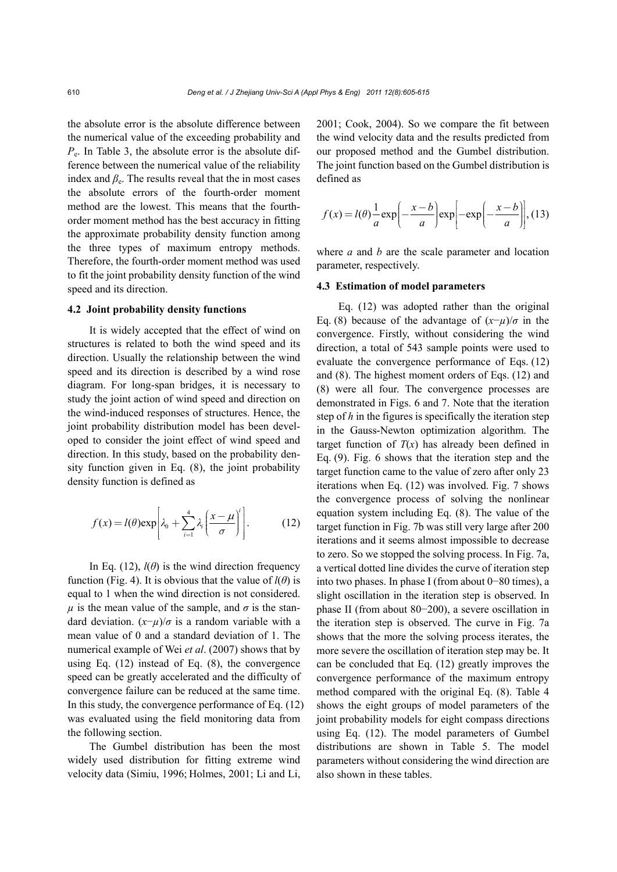the absolute error is the absolute difference between the numerical value of the exceeding probability and *P*e. In Table 3, the absolute error is the absolute difference between the numerical value of the reliability index and  $\beta_e$ . The results reveal that the in most cases the absolute errors of the fourth-order moment method are the lowest. This means that the fourthorder moment method has the best accuracy in fitting the approximate probability density function among the three types of maximum entropy methods. Therefore, the fourth-order moment method was used to fit the joint probability density function of the wind speed and its direction.

### **4.2 Joint probability density functions**

It is widely accepted that the effect of wind on structures is related to both the wind speed and its direction. Usually the relationship between the wind speed and its direction is described by a wind rose diagram. For long-span bridges, it is necessary to study the joint action of wind speed and direction on the wind-induced responses of structures. Hence, the joint probability distribution model has been developed to consider the joint effect of wind speed and direction. In this study, based on the probability density function given in Eq. (8), the joint probability density function is defined as

$$
f(x) = l(\theta) \exp\left[\lambda_0 + \sum_{i=1}^4 \lambda_i \left(\frac{x - \mu}{\sigma}\right)^i\right].
$$
 (12)

In Eq. (12),  $l(\theta)$  is the wind direction frequency function (Fig. 4). It is obvious that the value of  $l(\theta)$  is equal to 1 when the wind direction is not considered.  $\mu$  is the mean value of the sample, and  $\sigma$  is the standard deviation.  $(x-\mu)/\sigma$  is a random variable with a mean value of 0 and a standard deviation of 1. The numerical example of Wei *et al*. (2007) shows that by using Eq. (12) instead of Eq. (8), the convergence speed can be greatly accelerated and the difficulty of convergence failure can be reduced at the same time. In this study, the convergence performance of Eq. (12) was evaluated using the field monitoring data from the following section.

The Gumbel distribution has been the most widely used distribution for fitting extreme wind velocity data (Simiu, 1996; Holmes, 2001; Li and Li, 2001; Cook, 2004). So we compare the fit between the wind velocity data and the results predicted from our proposed method and the Gumbel distribution. The joint function based on the Gumbel distribution is defined as

$$
f(x) = l(\theta) \frac{1}{a} \exp\left(-\frac{x-b}{a}\right) \exp\left[-\exp\left(-\frac{x-b}{a}\right)\right], (13)
$$

where *a* and *b* are the scale parameter and location parameter, respectively.

## **4.3 Estimation of model parameters**

Eq. (12) was adopted rather than the original Eq. (8) because of the advantage of  $(x-\mu)/\sigma$  in the convergence. Firstly, without considering the wind direction, a total of 543 sample points were used to evaluate the convergence performance of Eqs. (12) and (8). The highest moment orders of Eqs. (12) and (8) were all four. The convergence processes are demonstrated in Figs. 6 and 7. Note that the iteration step of *h* in the figures is specifically the iteration step in the Gauss-Newton optimization algorithm. The target function of  $T(x)$  has already been defined in Eq. (9). Fig. 6 shows that the iteration step and the target function came to the value of zero after only 23 iterations when Eq. (12) was involved. Fig. 7 shows the convergence process of solving the nonlinear equation system including Eq. (8). The value of the target function in Fig. 7b was still very large after 200 iterations and it seems almost impossible to decrease to zero. So we stopped the solving process. In Fig. 7a, a vertical dotted line divides the curve of iteration step into two phases. In phase I (from about 0−80 times), a slight oscillation in the iteration step is observed. In phase II (from about 80−200), a severe oscillation in the iteration step is observed. The curve in Fig. 7a shows that the more the solving process iterates, the more severe the oscillation of iteration step may be. It can be concluded that Eq. (12) greatly improves the convergence performance of the maximum entropy method compared with the original Eq. (8). Table 4 shows the eight groups of model parameters of the joint probability models for eight compass directions using Eq. (12). The model parameters of Gumbel distributions are shown in Table 5. The model parameters without considering the wind direction are also shown in these tables.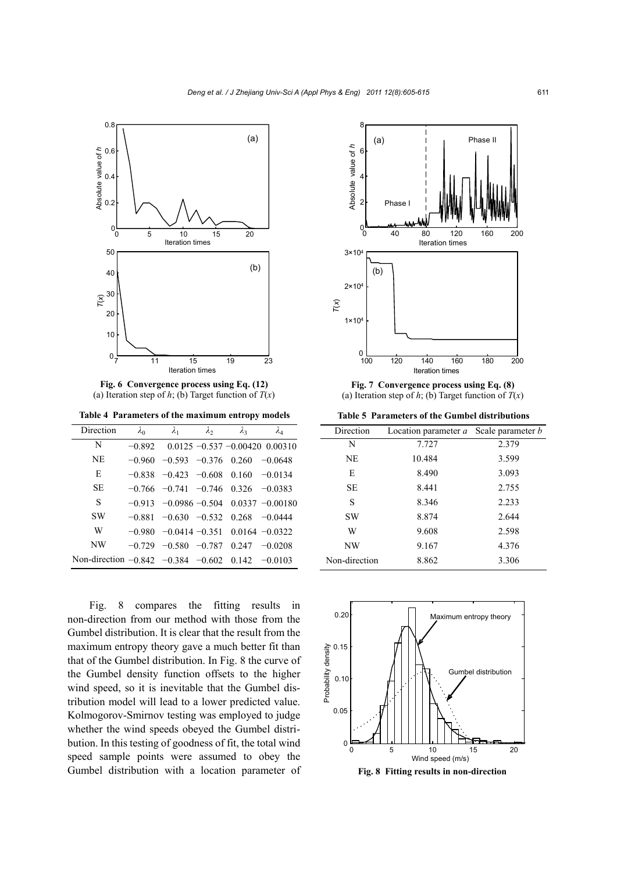

**Fig. 6 Convergence process using Eq. (12)**  (a) Iteration step of  $h$ ; (b) Target function of  $T(x)$ 

**Table 4 Parameters of the maximum entropy models** 

| Direction                                                | $\lambda_0$ | $\lambda_1$                                  | $\lambda_{2}$ | $\lambda_3$ | $\lambda_4$                                   |
|----------------------------------------------------------|-------------|----------------------------------------------|---------------|-------------|-----------------------------------------------|
| N                                                        |             |                                              |               |             | $-0.892$ 0.0125 $-0.537 -0.00420$ 0.00310     |
| <b>NE</b>                                                |             | $-0.960$ $-0.593$ $-0.376$ $0.260$ $-0.0648$ |               |             |                                               |
| E                                                        |             | $-0.838$ $-0.423$ $-0.608$ 0.160 $-0.0134$   |               |             |                                               |
| <b>SE</b>                                                |             | $-0.766$ $-0.741$ $-0.746$ $0.326$ $-0.0383$ |               |             |                                               |
| S                                                        |             |                                              |               |             | $-0.913$ $-0.0986$ $-0.504$ 0.0337 $-0.00180$ |
| <b>SW</b>                                                |             | $-0.881$ $-0.630$ $-0.532$ 0.268 $-0.0444$   |               |             |                                               |
| W                                                        |             | $-0.980$ $-0.0414$ $-0.351$ 0.0164 $-0.0322$ |               |             |                                               |
| NW                                                       |             | $-0.729$ $-0.580$ $-0.787$ $0.247$ $-0.0208$ |               |             |                                               |
| Non-direction $-0.842$ $-0.384$ $-0.602$ 0.142 $-0.0103$ |             |                                              |               |             |                                               |

Fig. 8 compares the fitting results in non-direction from our method with those from the Gumbel distribution. It is clear that the result from the maximum entropy theory gave a much better fit than that of the Gumbel distribution. In Fig. 8 the curve of the Gumbel density function offsets to the higher wind speed, so it is inevitable that the Gumbel distribution model will lead to a lower predicted value. Kolmogorov-Smirnov testing was employed to judge whether the wind speeds obeyed the Gumbel distribution. In this testing of goodness of fit, the total wind speed sample points were assumed to obey the Gumbel distribution with a location parameter of



**Fig. 7 Convergence process using Eq. (8)**  (a) Iteration step of  $h$ ; (b) Target function of  $T(x)$ 

**Table 5 Parameters of the Gumbel distributions** 

| Direction     | Location parameter a | Scale parameter <i>b</i> |
|---------------|----------------------|--------------------------|
| N             | 7.727                | 2.379                    |
| <b>NE</b>     | 10.484               | 3.599                    |
| E             | 8.490                | 3.093                    |
| <b>SE</b>     | 8.441                | 2.755                    |
| S             | 8.346                | 2.233                    |
| <b>SW</b>     | 8.874                | 2.644                    |
| W             | 9.608                | 2.598                    |
| NW            | 9.167                | 4.376                    |
| Non-direction | 8.862                | 3.306                    |



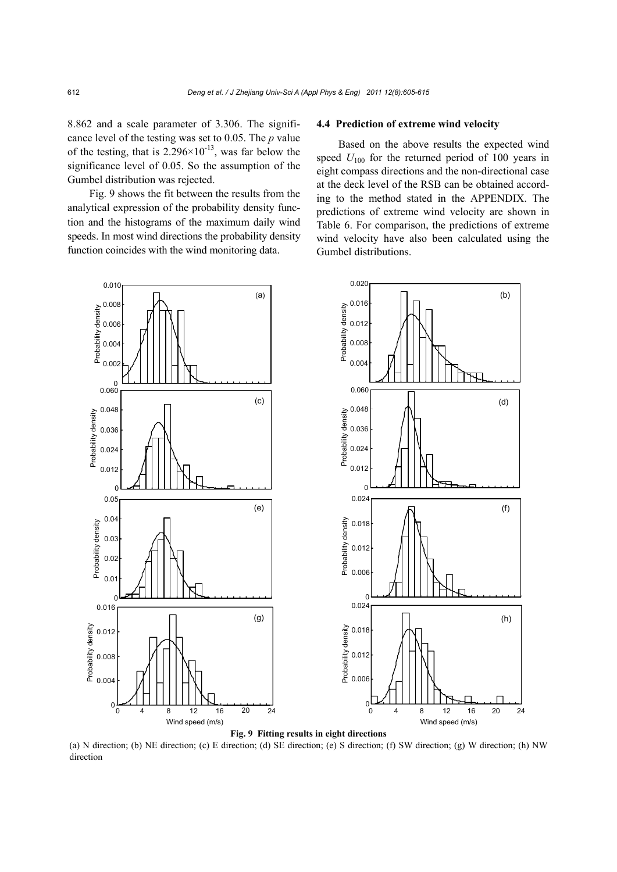8.862 and a scale parameter of 3.306. The significance level of the testing was set to 0.05. The *p* value of the testing, that is  $2.296 \times 10^{-13}$ , was far below the significance level of 0.05. So the assumption of the Gumbel distribution was rejected.

Fig. 9 shows the fit between the results from the analytical expression of the probability density function and the histograms of the maximum daily wind speeds. In most wind directions the probability density function coincides with the wind monitoring data.

## **4.4 Prediction of extreme wind velocity**

Based on the above results the expected wind speed  $U_{100}$  for the returned period of 100 years in eight compass directions and the non-directional case at the deck level of the RSB can be obtained according to the method stated in the APPENDIX. The predictions of extreme wind velocity are shown in Table 6. For comparison, the predictions of extreme wind velocity have also been calculated using the Gumbel distributions.



**Fig. 9 Fitting results in eight directions** 

(a) N direction; (b) NE direction; (c) E direction; (d) SE direction; (e) S direction; (f) SW direction; (g) W direction; (h) NW direction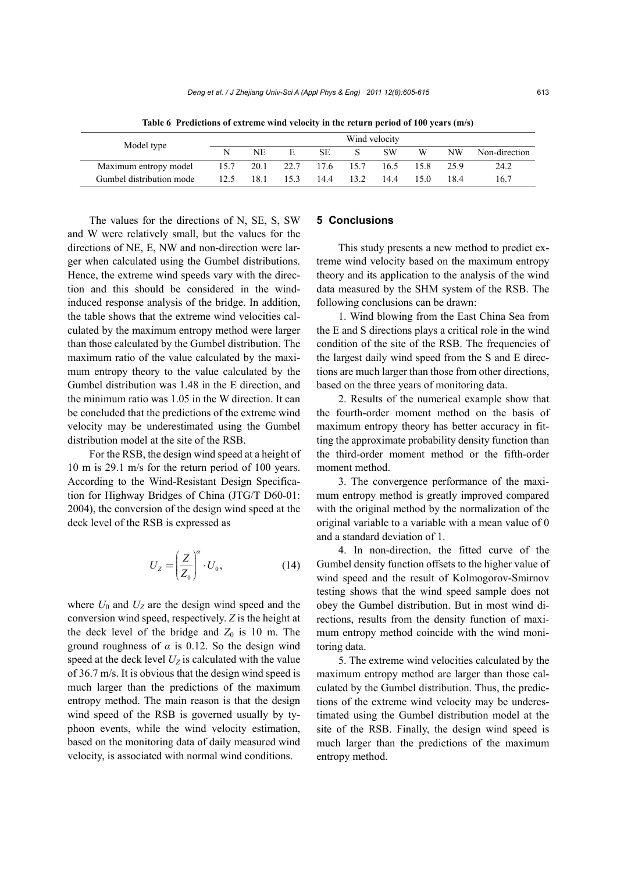| Model type               | Wind velocity |      |      |           |           |           |      |      |               |
|--------------------------|---------------|------|------|-----------|-----------|-----------|------|------|---------------|
|                          | N             | NE   | E    | <b>SE</b> | S.        | <b>SW</b> | W    | NW   | Non-direction |
| Maximum entropy model    | 15.7          | 20.1 | 22.7 |           | 17.6 15.7 | 16.5      | 15.8 | 25.9 | 24.2          |
| Gumbel distribution mode | 12.5          | 18.1 | 153. | 144       | 132       | 144       | 150  | 184  | 16.7          |

**Table 6 Predictions of extreme wind velocity in the return period of 100 years (m/s)** 

The values for the directions of N, SE, S, SW and W were relatively small, but the values for the directions of NE, E, NW and non-direction were larger when calculated using the Gumbel distributions. Hence, the extreme wind speeds vary with the direction and this should be considered in the windinduced response analysis of the bridge. In addition, the table shows that the extreme wind velocities calculated by the maximum entropy method were larger than those calculated by the Gumbel distribution. The maximum ratio of the value calculated by the maximum entropy theory to the value calculated by the Gumbel distribution was 1.48 in the E direction, and the minimum ratio was 1.05 in the W direction. It can be concluded that the predictions of the extreme wind velocity may be underestimated using the Gumbel distribution model at the site of the RSB.

For the RSB, the design wind speed at a height of 10 m is 29.1 m/s for the return period of 100 years. According to the Wind-Resistant Design Specification for Highway Bridges of China (JTG/T D60-01: 2004), the conversion of the design wind speed at the deck level of the RSB is expressed as

$$
U_z = \left(\frac{Z}{Z_0}\right)^{\alpha} \cdot U_0,\tag{14}
$$

where  $U_0$  and  $U_Z$  are the design wind speed and the conversion wind speed, respectively. *Z* is the height at the deck level of the bridge and  $Z_0$  is 10 m. The ground roughness of  $\alpha$  is 0.12. So the design wind speed at the deck level  $U_Z$  is calculated with the value of 36.7 m/s. It is obvious that the design wind speed is much larger than the predictions of the maximum entropy method. The main reason is that the design wind speed of the RSB is governed usually by typhoon events, while the wind velocity estimation, based on the monitoring data of daily measured wind velocity, is associated with normal wind conditions.

## **5 Conclusions**

This study presents a new method to predict extreme wind velocity based on the maximum entropy theory and its application to the analysis of the wind data measured by the SHM system of the RSB. The following conclusions can be drawn:

1. Wind blowing from the East China Sea from the E and S directions plays a critical role in the wind condition of the site of the RSB. The frequencies of the largest daily wind speed from the S and E directions are much larger than those from other directions, based on the three years of monitoring data.

2. Results of the numerical example show that the fourth-order moment method on the basis of maximum entropy theory has better accuracy in fitting the approximate probability density function than the third-order moment method or the fifth-order moment method.

3. The convergence performance of the maximum entropy method is greatly improved compared with the original method by the normalization of the original variable to a variable with a mean value of 0 and a standard deviation of 1.

4. In non-direction, the fitted curve of the Gumbel density function offsets to the higher value of wind speed and the result of Kolmogorov-Smirnov testing shows that the wind speed sample does not obey the Gumbel distribution. But in most wind directions, results from the density function of maximum entropy method coincide with the wind monitoring data.

5. The extreme wind velocities calculated by the maximum entropy method are larger than those calculated by the Gumbel distribution. Thus, the predictions of the extreme wind velocity may be underestimated using the Gumbel distribution model at the site of the RSB. Finally, the design wind speed is much larger than the predictions of the maximum entropy method.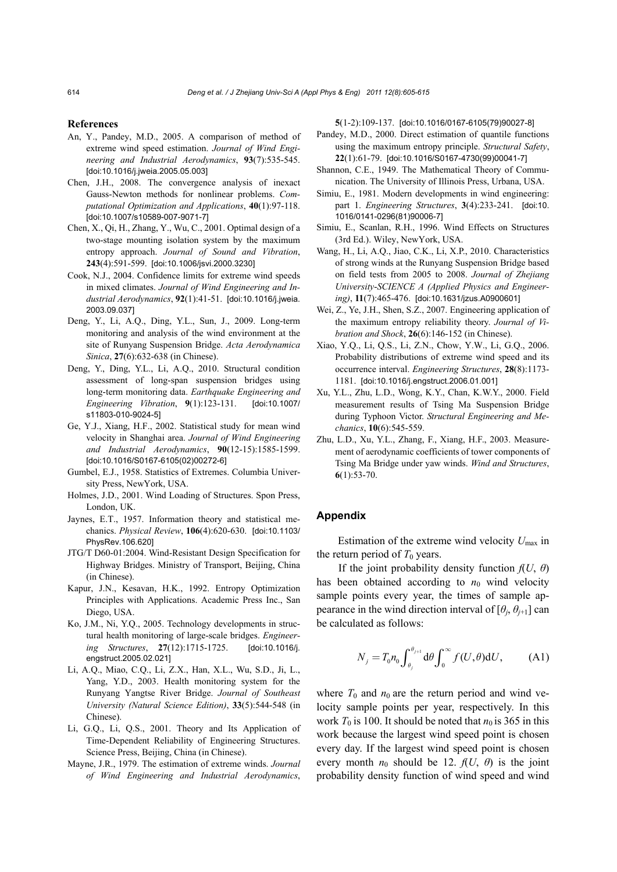#### **References**

- An, Y., Pandey, M.D., 2005. A comparison of method of extreme wind speed estimation. *Journal of Wind Engineering and Industrial Aerodynamics*, **93**(7):535-545. [doi:10.1016/j.jweia.2005.05.003]
- Chen, J.H., 2008. The convergence analysis of inexact Gauss-Newton methods for nonlinear problems. *Computational Optimization and Applications*, **40**(1):97-118. [doi:10.1007/s10589-007-9071-7]
- Chen, X., Qi, H., Zhang, Y., Wu, C., 2001. Optimal design of a two-stage mounting isolation system by the maximum entropy approach. *Journal of Sound and Vibration*, **243**(4):591-599. [doi:10.1006/jsvi.2000.3230]
- Cook, N.J., 2004. Confidence limits for extreme wind speeds in mixed climates. *Journal of Wind Engineering and Industrial Aerodynamics*, **92**(1):41-51. [doi:10.1016/j.jweia. 2003.09.037]
- Deng, Y., Li, A.Q., Ding, Y.L., Sun, J., 2009. Long-term monitoring and analysis of the wind environment at the site of Runyang Suspension Bridge. *Acta Aerodynamica Sinica*, **27**(6):632-638 (in Chinese).
- Deng, Y., Ding, Y.L., Li, A.Q., 2010. Structural condition assessment of long-span suspension bridges using long-term monitoring data. *Earthquake Engineering and Engineering Vibration*, **9**(1):123-131. [doi:10.1007/ s11803-010-9024-5]
- Ge, Y.J., Xiang, H.F., 2002. Statistical study for mean wind velocity in Shanghai area. *Journal of Wind Engineering and Industrial Aerodynamics*, **90**(12-15):1585-1599. [doi:10.1016/S0167-6105(02)00272-6]
- Gumbel, E.J., 1958. Statistics of Extremes. Columbia University Press, NewYork, USA.
- Holmes, J.D., 2001. Wind Loading of Structures. Spon Press, London, UK.
- Jaynes, E.T., 1957. Information theory and statistical mechanics. *Physical Review*, **106**(4):620-630. [doi:10.1103/ PhysRev.106.620]
- JTG/T D60-01:2004. Wind-Resistant Design Specification for Highway Bridges. Ministry of Transport, Beijing, China (in Chinese).
- Kapur, J.N., Kesavan, H.K., 1992. Entropy Optimization Principles with Applications. Academic Press Inc., San Diego, USA.
- Ko, J.M., Ni, Y.Q., 2005. Technology developments in structural health monitoring of large-scale bridges. *Engineering Structures*, **27**(12):1715-1725. [doi:10.1016/j. engstruct.2005.02.021]
- Li, A.Q., Miao, C.Q., Li, Z.X., Han, X.L., Wu, S.D., Ji, L., Yang, Y.D., 2003. Health monitoring system for the Runyang Yangtse River Bridge. *Journal of Southeast University (Natural Science Edition)*, **33**(5):544-548 (in Chinese).
- Li, G.Q., Li, Q.S., 2001. Theory and Its Application of Time-Dependent Reliability of Engineering Structures. Science Press, Beijing, China (in Chinese).
- Mayne, J.R., 1979. The estimation of extreme winds. *Journal of Wind Engineering and Industrial Aerodynamics*,

**5**(1-2):109-137. [doi:10.1016/0167-6105(79)90027-8]

- Pandey, M.D., 2000. Direct estimation of quantile functions using the maximum entropy principle. *Structural Safety*, **22**(1):61-79. [doi:10.1016/S0167-4730(99)00041-7]
- Shannon, C.E., 1949. The Mathematical Theory of Communication. The University of Illinois Press, Urbana, USA.
- Simiu, E., 1981. Modern developments in wind engineering: part 1. *Engineering Structures*, **3**(4):233-241. [doi:10. 1016/0141-0296(81)90006-7]
- Simiu, E., Scanlan, R.H., 1996. Wind Effects on Structures (3rd Ed.). Wiley, NewYork, USA.
- Wang, H., Li, A.Q., Jiao, C.K., Li, X.P., 2010. Characteristics of strong winds at the Runyang Suspension Bridge based on field tests from 2005 to 2008. *Journal of Zhejiang University*-*SCIENCE A (Applied Physics and Engineering)*, **11**(7):465-476. [doi:10.1631/jzus.A0900601]
- Wei, Z., Ye, J.H., Shen, S.Z., 2007. Engineering application of the maximum entropy reliability theory. *Journal of Vibration and Shock*, **26**(6):146-152 (in Chinese).
- Xiao, Y.Q., Li, Q.S., Li, Z.N., Chow, Y.W., Li, G.Q., 2006. Probability distributions of extreme wind speed and its occurrence interval. *Engineering Structures*, **28**(8):1173- 1181. [doi:10.1016/j.engstruct.2006.01.001]
- Xu, Y.L., Zhu, L.D., Wong, K.Y., Chan, K.W.Y., 2000. Field measurement results of Tsing Ma Suspension Bridge during Typhoon Victor. *Structural Engineering and Mechanics*, **10**(6):545-559.
- Zhu, L.D., Xu, Y.L., Zhang, F., Xiang, H.F., 2003. Measurement of aerodynamic coefficients of tower components of Tsing Ma Bridge under yaw winds. *Wind and Structures*, **6**(1):53-70.

## **Appendix**

Estimation of the extreme wind velocity  $U_{\text{max}}$  in the return period of  $T_0$  years.

If the joint probability density function  $f(U, \theta)$ has been obtained according to  $n_0$  wind velocity sample points every year, the times of sample appearance in the wind direction interval of  $[\theta_i, \theta_{i+1}]$  can be calculated as follows:

$$
N_j = T_0 n_0 \int_{\theta_j}^{\theta_{j+1}} d\theta \int_0^\infty f(U, \theta) dU, \quad (A1)
$$

where  $T_0$  and  $n_0$  are the return period and wind velocity sample points per year, respectively. In this work  $T_0$  is 100. It should be noted that  $n_0$  is 365 in this work because the largest wind speed point is chosen every day. If the largest wind speed point is chosen every month  $n_0$  should be 12.  $f(U, \theta)$  is the joint probability density function of wind speed and wind